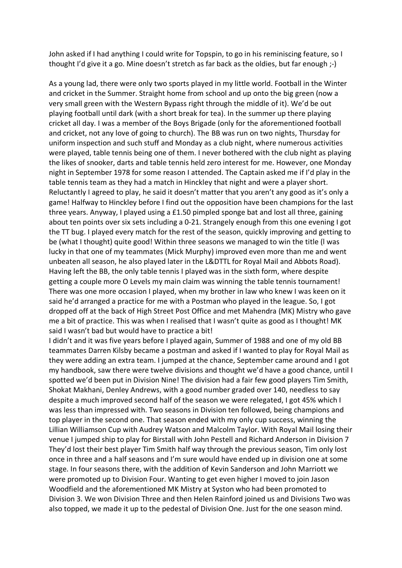John asked if I had anything I could write for Topspin, to go in his reminiscing feature, so I thought I'd give it a go. Mine doesn't stretch as far back as the oldies, but far enough ;-)

As a young lad, there were only two sports played in my little world. Football in the Winter and cricket in the Summer. Straight home from school and up onto the big green (now a very small green with the Western Bypass right through the middle of it). We'd be out playing football until dark (with a short break for tea). In the summer up there playing cricket all day. I was a member of the Boys Brigade (only for the aforementioned football and cricket, not any love of going to church). The BB was run on two nights, Thursday for uniform inspection and such stuff and Monday as a club night, where numerous activities were played, table tennis being one of them. I never bothered with the club night as playing the likes of snooker, darts and table tennis held zero interest for me. However, one Monday night in September 1978 for some reason I attended. The Captain asked me if I'd play in the table tennis team as they had a match in Hinckley that night and were a player short. Reluctantly I agreed to play, he said it doesn't matter that you aren't any good as it's only a game! Halfway to Hinckley before I find out the opposition have been champions for the last three years. Anyway, I played using a £1.50 pimpled sponge bat and lost all three, gaining about ten points over six sets including a 0-21. Strangely enough from this one evening I got the TT bug. I played every match for the rest of the season, quickly improving and getting to be (what I thought) quite good! Within three seasons we managed to win the title (l was lucky in that one of my teammates (Mick Murphy) improved even more than me and went unbeaten all season, he also played later in the L&DTTL for Royal Mail and Abbots Road). Having left the BB, the only table tennis I played was in the sixth form, where despite getting a couple more O Levels my main claim was winning the table tennis tournament! There was one more occasion I played, when my brother in law who knew I was keen on it said he'd arranged a practice for me with a Postman who played in the league. So, I got dropped off at the back of High Street Post Office and met Mahendra (MK) Mistry who gave me a bit of practice. This was when I realised that I wasn't quite as good as I thought! MK said I wasn't bad but would have to practice a bit!

I didn't and it was five years before I played again, Summer of 1988 and one of my old BB teammates Darren Kilsby became a postman and asked if I wanted to play for Royal Mail as they were adding an extra team. I jumped at the chance, September came around and I got my handbook, saw there were twelve divisions and thought we'd have a good chance, until I spotted we'd been put in Division Nine! The division had a fair few good players Tim Smith, Shokat Makhani, Denley Andrews, with a good number graded over 140, needless to say despite a much improved second half of the season we were relegated, I got 45% which I was less than impressed with. Two seasons in Division ten followed, being champions and top player in the second one. That season ended with my only cup success, winning the Lillian Williamson Cup with Audrey Watson and Malcolm Taylor. With Royal Mail losing their venue I jumped ship to play for Birstall with John Pestell and Richard Anderson in Division 7 They'd lost their best player Tim Smith half way through the previous season, Tim only lost once in three and a half seasons and I'm sure would have ended up in division one at some stage. In four seasons there, with the addition of Kevin Sanderson and John Marriott we were promoted up to Division Four. Wanting to get even higher I moved to join Jason Woodfield and the aforementioned MK Mistry at Syston who had been promoted to Division 3. We won Division Three and then Helen Rainford joined us and Divisions Two was also topped, we made it up to the pedestal of Division One. Just for the one season mind.